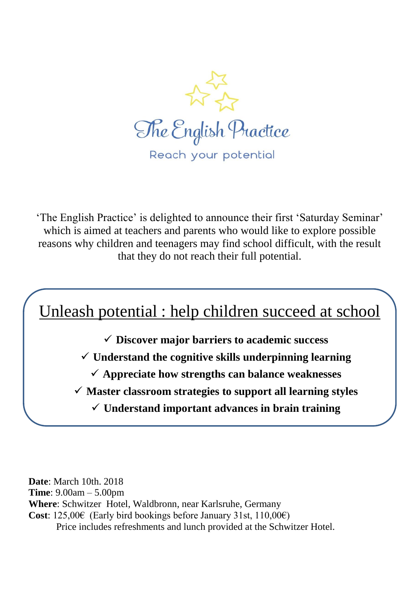

'The English Practice' is delighted to announce their first 'Saturday Seminar' which is aimed at teachers and parents who would like to explore possible reasons why children and teenagers may find school difficult, with the result that they do not reach their full potential.



**Date**: March 10th. 2018 **Time**: 9.00am – 5.00pm **Where**: Schwitzer Hotel, Waldbronn, near Karlsruhe, Germany **Cost**: 125,00€ (Early bird bookings before January 31st, 110,00€) Price includes refreshments and lunch provided at the Schwitzer Hotel.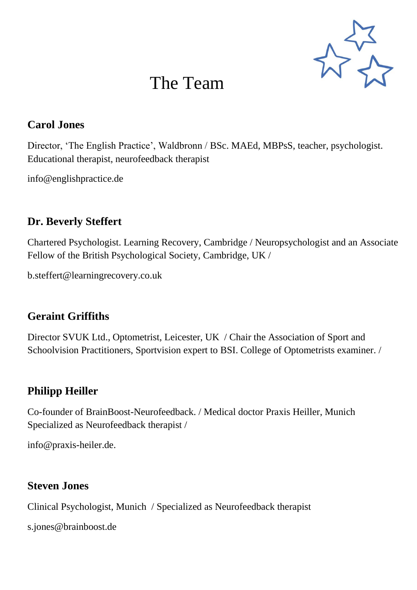

# The Team

### **Carol Jones**

Director, 'The English Practice', Waldbronn / BSc. MAEd, MBPsS, teacher, psychologist. Educational therapist, neurofeedback therapist

info@englishpractice.de

### **Dr. Beverly Steffert**

Chartered Psychologist. Learning Recovery, Cambridge / Neuropsychologist and an Associate Fellow of the British Psychological Society, Cambridge, UK /

b.steffert@learningrecovery.co.uk

### **Geraint Griffiths**

Director SVUK Ltd., Optometrist, Leicester, UK / Chair the Association of Sport and Schoolvision Practitioners, Sportvision expert to BSI. College of Optometrists examiner. /

### **Philipp Heiller**

Co-founder of BrainBoost-Neurofeedback. / Medical doctor Praxis Heiller, Munich Specialized as Neurofeedback therapist /

info@praxis-heiler.de.

### **Steven Jones**

Clinical Psychologist, Munich / Specialized as Neurofeedback therapist

s.jones@brainboost.de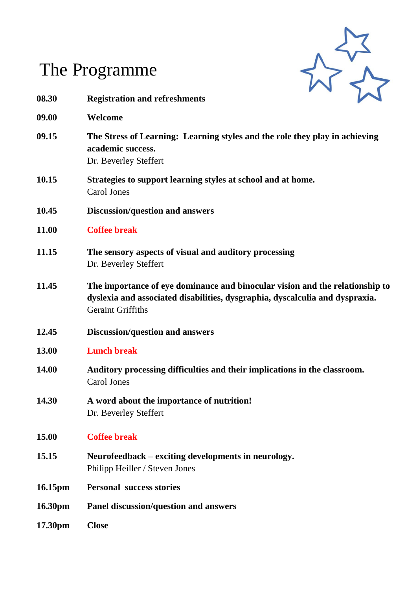

# The Programme

| 08.30   | <b>Registration and refreshments</b>                                                                                                                                                     |  |
|---------|------------------------------------------------------------------------------------------------------------------------------------------------------------------------------------------|--|
| 09.00   | Welcome                                                                                                                                                                                  |  |
| 09.15   | The Stress of Learning: Learning styles and the role they play in achieving<br>academic success.<br>Dr. Beverley Steffert                                                                |  |
| 10.15   | Strategies to support learning styles at school and at home.<br>Carol Jones                                                                                                              |  |
| 10.45   | Discussion/question and answers                                                                                                                                                          |  |
| 11.00   | <b>Coffee break</b>                                                                                                                                                                      |  |
| 11.15   | The sensory aspects of visual and auditory processing<br>Dr. Beverley Steffert                                                                                                           |  |
| 11.45   | The importance of eye dominance and binocular vision and the relationship to<br>dyslexia and associated disabilities, dysgraphia, dyscalculia and dyspraxia.<br><b>Geraint Griffiths</b> |  |
| 12.45   | <b>Discussion/question and answers</b>                                                                                                                                                   |  |
| 13.00   | <b>Lunch break</b>                                                                                                                                                                       |  |
| 14.00   | Auditory processing difficulties and their implications in the classroom.<br><b>Carol Jones</b>                                                                                          |  |
| 14.30   | A word about the importance of nutrition!<br>Dr. Beverley Steffert                                                                                                                       |  |
| 15.00   | <b>Coffee break</b>                                                                                                                                                                      |  |
| 15.15   | Neurofeedback – exciting developments in neurology.<br>Philipp Heiller / Steven Jones                                                                                                    |  |
| 16.15pm | <b>Personal success stories</b>                                                                                                                                                          |  |
| 16.30pm | Panel discussion/question and answers                                                                                                                                                    |  |
| 17.30pm | <b>Close</b>                                                                                                                                                                             |  |